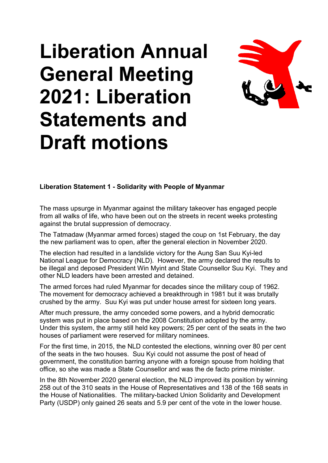## **Liberation Annual General Meeting 2021: Liberation Statements and Draft motions**



**Liberation Statement 1 - Solidarity with People of Myanmar**

The mass upsurge in Myanmar against the military takeover has engaged people from all walks of life, who have been out on the streets in recent weeks protesting against the brutal suppression of democracy.

The Tatmadaw (Myanmar armed forces) staged the coup on 1st February, the day the new parliament was to open, after the general election in November 2020.

The election had resulted in a landslide victory for the Aung San Suu Kyi-led National League for Democracy (NLD). However, the army declared the results to be illegal and deposed President Win Myint and State Counsellor Suu Kyi. They and other NLD leaders have been arrested and detained.

The armed forces had ruled Myanmar for decades since the military coup of 1962. The movement for democracy achieved a breakthrough in 1981 but it was brutally crushed by the army. Suu Kyi was put under house arrest for sixteen long years.

After much pressure, the army conceded some powers, and a hybrid democratic system was put in place based on the 2008 Constitution adopted by the army. Under this system, the army still held key powers; 25 per cent of the seats in the two houses of parliament were reserved for military nominees.

For the first time, in 2015, the NLD contested the elections, winning over 80 per cent of the seats in the two houses. Suu Kyi could not assume the post of head of government, the constitution barring anyone with a foreign spouse from holding that office, so she was made a State Counsellor and was the de facto prime minister.

In the 8th November 2020 general election, the NLD improved its position by winning 258 out of the 310 seats in the House of Representatives and 138 of the 168 seats in the House of Nationalities. The military-backed Union Solidarity and Development Party (USDP) only gained 26 seats and 5.9 per cent of the vote in the lower house.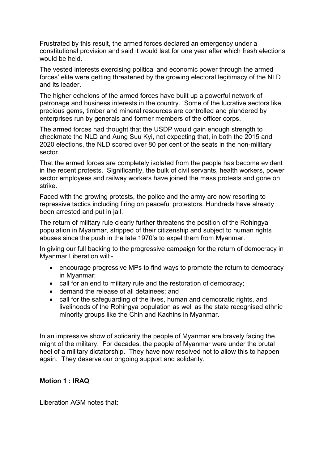Frustrated by this result, the armed forces declared an emergency under a constitutional provision and said it would last for one year after which fresh elections would be held.

The vested interests exercising political and economic power through the armed forces' elite were getting threatened by the growing electoral legitimacy of the NLD and its leader.

The higher echelons of the armed forces have built up a powerful network of patronage and business interests in the country. Some of the lucrative sectors like precious gems, timber and mineral resources are controlled and plundered by enterprises run by generals and former members of the officer corps.

The armed forces had thought that the USDP would gain enough strength to checkmate the NLD and Aung Suu Kyi, not expecting that, in both the 2015 and 2020 elections, the NLD scored over 80 per cent of the seats in the non-military sector.

That the armed forces are completely isolated from the people has become evident in the recent protests. Significantly, the bulk of civil servants, health workers, power sector employees and railway workers have joined the mass protests and gone on strike.

Faced with the growing protests, the police and the army are now resorting to repressive tactics including firing on peaceful protestors. Hundreds have already been arrested and put in jail.

The return of military rule clearly further threatens the position of the Rohingya population in Myanmar, stripped of their citizenship and subject to human rights abuses since the push in the late 1970's to expel them from Myanmar.

In giving our full backing to the progressive campaign for the return of democracy in Myanmar Liberation will:-

- encourage progressive MPs to find ways to promote the return to democracy in Myanmar;
- call for an end to military rule and the restoration of democracy;
- demand the release of all detainees; and
- call for the safeguarding of the lives, human and democratic rights, and livelihoods of the Rohingya population as well as the state recognised ethnic minority groups like the Chin and Kachins in Myanmar.

In an impressive show of solidarity the people of Myanmar are bravely facing the might of the military. For decades, the people of Myanmar were under the brutal heel of a military dictatorship. They have now resolved not to allow this to happen again. They deserve our ongoing support and solidarity.

## **Motion 1 : IRAQ**

Liberation AGM notes that: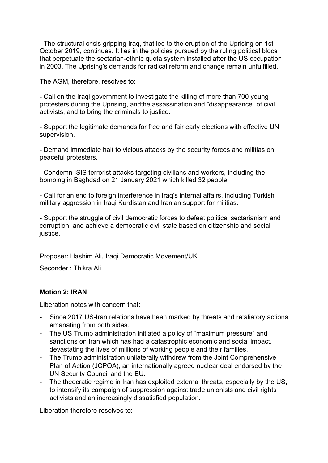- The structural crisis gripping Iraq, that led to the eruption of the Uprising on 1st October 2019, continues. It lies in the policies pursued by the ruling political blocs that perpetuate the sectarian-ethnic quota system installed after the US occupation in 2003. The Uprising's demands for radical reform and change remain unfulfilled.

The AGM, therefore, resolves to:

- Call on the Iraqi government to investigate the killing of more than 700 young protesters during the Uprising, andthe assassination and "disappearance" of civil activists, and to bring the criminals to justice.

- Support the legitimate demands for free and fair early elections with effective UN supervision.

- Demand immediate halt to vicious attacks by the security forces and militias on peaceful protesters.

- Condemn ISIS terrorist attacks targeting civilians and workers, including the bombing in Baghdad on 21 January 2021 which killed 32 people.

- Call for an end to foreign interference in Iraq's internal affairs, including Turkish military aggression in Iraqi Kurdistan and Iranian support for militias.

- Support the struggle of civil democratic forces to defeat political sectarianism and corruption, and achieve a democratic civil state based on citizenship and social justice.

Proposer: Hashim Ali, Iraqi Democratic Movement/UK

Seconder : Thikra Ali

## **Motion 2: IRAN**

Liberation notes with concern that:

- Since 2017 US-Iran relations have been marked by threats and retaliatory actions emanating from both sides.
- The US Trump administration initiated a policy of "maximum pressure" and sanctions on Iran which has had a catastrophic economic and social impact, devastating the lives of millions of working people and their families.
- The Trump administration unilaterally withdrew from the Joint Comprehensive Plan of Action (JCPOA), an internationally agreed nuclear deal endorsed by the UN Security Council and the EU.
- The theocratic regime in Iran has exploited external threats, especially by the US, to intensify its campaign of suppression against trade unionists and civil rights activists and an increasingly dissatisfied population.

Liberation therefore resolves to: